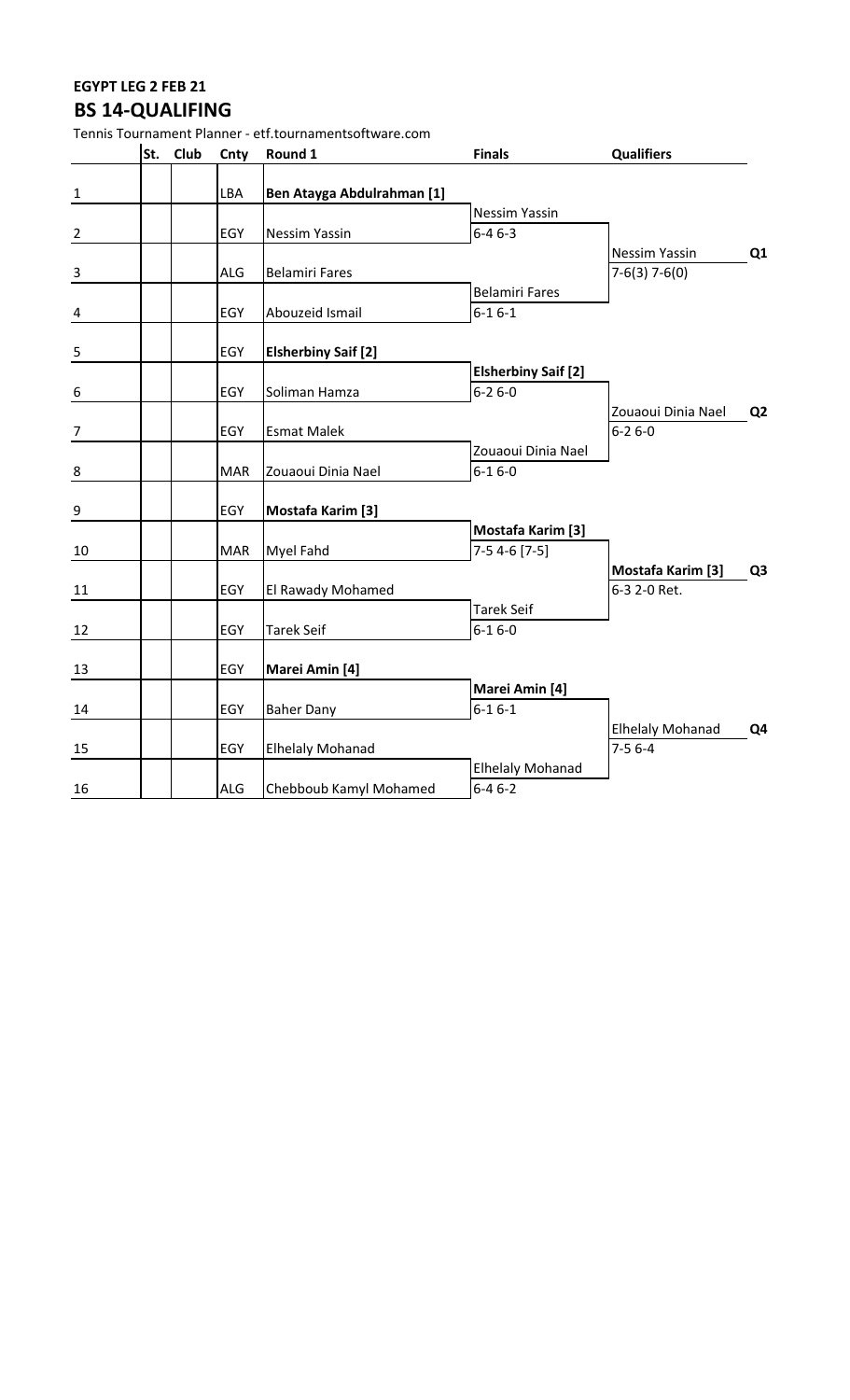## **EGYPT LEG 2 FEB 21 BS 14-QUALIFING**

|                  |          |            | Tennis Tournament Planner - etf.tournamentsoftware.com |                            |                          |                |
|------------------|----------|------------|--------------------------------------------------------|----------------------------|--------------------------|----------------|
|                  | St. Club | Cnty       | Round 1                                                | <b>Finals</b>              | <b>Qualifiers</b>        |                |
| $\mathbf{1}$     |          | LBA        | Ben Atayga Abdulrahman [1]                             |                            |                          |                |
|                  |          |            |                                                        | <b>Nessim Yassin</b>       |                          |                |
| $\overline{2}$   |          | EGY        | <b>Nessim Yassin</b>                                   | $6 - 46 - 3$               |                          |                |
|                  |          |            |                                                        |                            | Nessim Yassin            | Q <sub>1</sub> |
| $\overline{3}$   |          | <b>ALG</b> | <b>Belamiri Fares</b>                                  |                            | $7-6(3)$ 7-6(0)          |                |
|                  |          |            |                                                        | <b>Belamiri Fares</b>      |                          |                |
| $\overline{a}$   |          | EGY        | Abouzeid Ismail                                        | $6 - 16 - 1$               |                          |                |
|                  |          |            |                                                        |                            |                          |                |
| 5                |          | EGY        | <b>Elsherbiny Saif [2]</b>                             |                            |                          |                |
|                  |          |            |                                                        | <b>Elsherbiny Saif [2]</b> |                          |                |
| $\boldsymbol{6}$ |          | EGY        | Soliman Hamza                                          | $6 - 26 - 0$               |                          |                |
|                  |          |            |                                                        |                            | Zouaoui Dinia Nael       | Q <sub>2</sub> |
| 7                |          | EGY        | <b>Esmat Malek</b>                                     |                            | $6 - 26 - 0$             |                |
|                  |          |            |                                                        | Zouaoui Dinia Nael         |                          |                |
| 8                |          | <b>MAR</b> | Zouaoui Dinia Nael                                     | $6 - 16 - 0$               |                          |                |
| $\boldsymbol{9}$ |          | EGY        | <b>Mostafa Karim [3]</b>                               |                            |                          |                |
|                  |          |            |                                                        | <b>Mostafa Karim [3]</b>   |                          |                |
| 10               |          | <b>MAR</b> | Myel Fahd                                              | $7-54-6$ [7-5]             |                          |                |
|                  |          |            |                                                        |                            | <b>Mostafa Karim [3]</b> | Q <sub>3</sub> |
| 11               |          | EGY        | El Rawady Mohamed                                      |                            | 6-3 2-0 Ret.             |                |
|                  |          |            |                                                        | <b>Tarek Seif</b>          |                          |                |
| 12               |          | EGY        | <b>Tarek Seif</b>                                      | $6 - 16 - 0$               |                          |                |
|                  |          |            |                                                        |                            |                          |                |
| 13               |          | EGY        | Marei Amin [4]                                         |                            |                          |                |
|                  |          |            |                                                        | Marei Amin [4]             |                          |                |
| 14               |          | EGY        | <b>Baher Dany</b>                                      | $6 - 16 - 1$               |                          |                |
|                  |          |            |                                                        |                            | <b>Elhelaly Mohanad</b>  | Q4             |
| 15               |          | EGY        | <b>Elhelaly Mohanad</b>                                |                            | $7-56-4$                 |                |
|                  |          |            |                                                        | <b>Elhelaly Mohanad</b>    |                          |                |
| 16               |          | <b>ALG</b> | Chebboub Kamyl Mohamed                                 | $6 - 46 - 2$               |                          |                |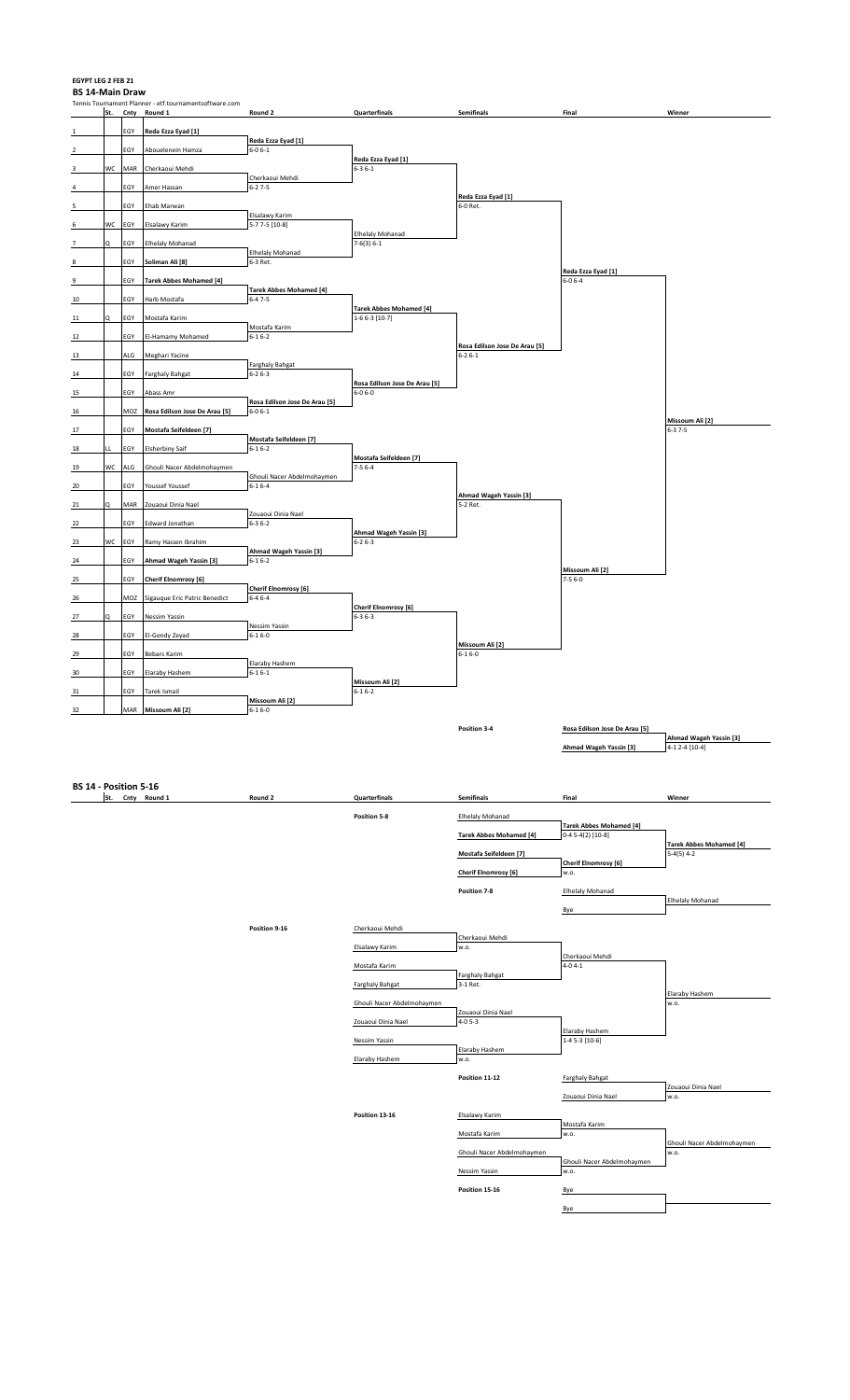### **EGYPT LEG 2 FEB 21**

**BS 14-Main Draw** Trum = Tennis<br>
International Planner - etf.tournamentsoftware.com<br>
St. Chty Round 1 **St. Cnty Round 1 Round 2 Quarterfinals Semifinals Final Winner**  1 EGY **Reda Ezza Eyad [1] Reda Ezza Eyad [1]**  2 EGY Abouelenein Hamza **Reda Ezza Eyad [1]**  3 WC MAR Cherkaoui Mehdi Cherkaoui Mehdi 4 EGY Amer Hassan **Reda Ezza Eyad [1]**  5 EGY Ehab Marwan 6-0 Ret. Elsalawy Karim 6 WC EGY Elsalawy Karim 5-7 7-5 [10-8] Elhelaly Mohanad<br>7-6(3) 6-1 7 Q EGY Elhelaly Mohanad Elhelaly Mohanad<br>6-3 Ret. 8 **EGY Soliman Ali** [8] **Reda Ezza Eyad [1] 9 EGY Tarek Abbes Mohamed [4] Tarek Abbes Mohamed [4]**  10 EGY Harb Mostafa **Tarek Abbes Mohamed [4]**  11 | Q | EGY | Mostafa Karim | Mostafa Karim | 1-6 6-3 [10-7] 12 **EGY El-Hamamy Mohamed Rosa Edilson Jose De Arau [5]**  13 ALG Meghari Yacine Farghaly Bahgat<br>6-2 6-3 14 EGY Farghaly Bahgat **Rosa Edilson Jose De Arau [5]**  15 EGY Abass Amr **6-0 6-0 6-0 EGY Abass Amr** 6-0 6-0 **Rosa Edilson Jose De Arau [5]** 16 **MOZ Rosa Edilson Jose De Arau [5] Missoum Ali [2] 17** EGY **Mostafa Seifeldeen [7] Mostafa Seifeldeen [7]**  18 LL EGY Elsherbiny Saif **Mostafa Seifeldeen [7]**  19 WC ALG Ghouli Nacer Abdelmohaymen 7-5 6-4 Ghouli Nacer Abdelmohaymen 20 EGY Youssef Youssef **Ahmad Wageh Yassin [3]**  21 Q MAR Zouaoui Dinia Nael Zouaoui Dinia Nael 22 EGY Edward Jonathan **Ahmad Wageh Yassin [3]**  23 WC EGY Ramy Hassen Ibrahim **6-2 6-3**<br> **Ahmad Wageh Yassin [3] Ahmad Wageh Yassin [3] 24** EGY **Ahmad Wageh Yassin [3] Missoum Ali [2]**  25 EGY **Cherif Elnomrosy [6]** 7-5 6-0 **Cherif Elnomrosy [6]**  26 MOZ Sigauque Eric Patric Benedict **Cherif Elnomrosy [6]**  27 Q EGY Nessim Yassin 6-3 6-3 Nessim Yassin<br>6-1 6-0 28 EGY El-Gendy Zeyad **Missoum Ali [2]**  29 EGY Bebars Karim 6-1 6-0 EGY Bebars Karim 6-1 6-0 EGY BEBAR 6-1 6-0 EGY BEBAR 6-1 6-0 EGY BEBAR 6-1 6-0 EGY BEBAR 6-1 6-0 EGY BEBAR 6-1 6-0 EGY BEBAR 6-1 6-0 EGY BEBAR 6-1 6-0 EGY BEBAR 6-1 6-0 EGY BEBAR 6-1 6-0 EGY BEB Elaraby Hashem<br>6-1 6-1 30 EGY Elaraby Hashem **Missoum Ali [2]**  31 EGY Tarek Ismail **Missoum Ali [2]**<br>6-1 6-0 32 MAR **Missoum Ali [2]** 6-1 6-0 **Position 3-4 Rosa Edilson Jose De Arau [5] Ahmad Wageh Yassin [3]**<br>4-1 2-4 [10-4] **Ahmad Wageh Yassin [3] BS 14 - Position 5-16 St. Cnty Round 1 Round 2 Quarterfinals Semifinals Final Winner**  Position 5-8 **Elhelaly Mohanad Tarek Abbes Mohamed [4]**<br>0-4 5-4(2) [10-8] **Tarek Abbes Mohamed [4] Tarek Abbes Mohamed [4] Mostafa Seifeldeen [7] Cherif Elnomrosy [6] Cherif Elnomrosy** [6] **Position 7-8** Elhelaly Mohanad Elhelaly Mohanad Bye **Position 9-16** Cherkaoui Mehdi

|                            | Cherkaoui Mehdi            |                            |                            |
|----------------------------|----------------------------|----------------------------|----------------------------|
| Elsalawy Karim             | w.o.                       |                            |                            |
|                            |                            | Cherkaoui Mehdi            |                            |
| Mostafa Karim              |                            | $4 - 04 - 1$               |                            |
|                            | <b>Farghaly Bahgat</b>     |                            |                            |
| <b>Farghaly Bahgat</b>     | $3-1$ Ret.                 |                            |                            |
|                            |                            |                            | Elaraby Hashem             |
| Ghouli Nacer Abdelmohaymen |                            |                            | w.o.                       |
|                            | Zouaoui Dinia Nael         |                            |                            |
| Zouaoui Dinia Nael         | $4 - 05 - 3$               |                            |                            |
|                            |                            | Elaraby Hashem             |                            |
| Nessim Yassin              |                            | 1-4 5-3 [10-6]             |                            |
|                            | Elaraby Hashem             |                            |                            |
| Elaraby Hashem             | w.o.                       |                            |                            |
|                            |                            |                            |                            |
|                            | Position 11-12             | <b>Farghaly Bahgat</b>     |                            |
|                            |                            |                            | Zouaoui Dinia Nael         |
|                            |                            | Zouaoui Dinia Nael         | w.o.                       |
|                            |                            |                            |                            |
| Position 13-16             | Elsalawy Karim             |                            |                            |
|                            |                            | Mostafa Karim              |                            |
|                            | Mostafa Karim              | w.o.                       |                            |
|                            |                            |                            | Ghouli Nacer Abdelmohaymen |
|                            | Ghouli Nacer Abdelmohaymen |                            | w.o.                       |
|                            |                            | Ghouli Nacer Abdelmohaymen |                            |
|                            | Nessim Yassin              | w.o.                       |                            |
|                            |                            |                            |                            |
|                            | Position 15-16             | Bye                        |                            |
|                            |                            |                            |                            |
|                            |                            | Bye                        |                            |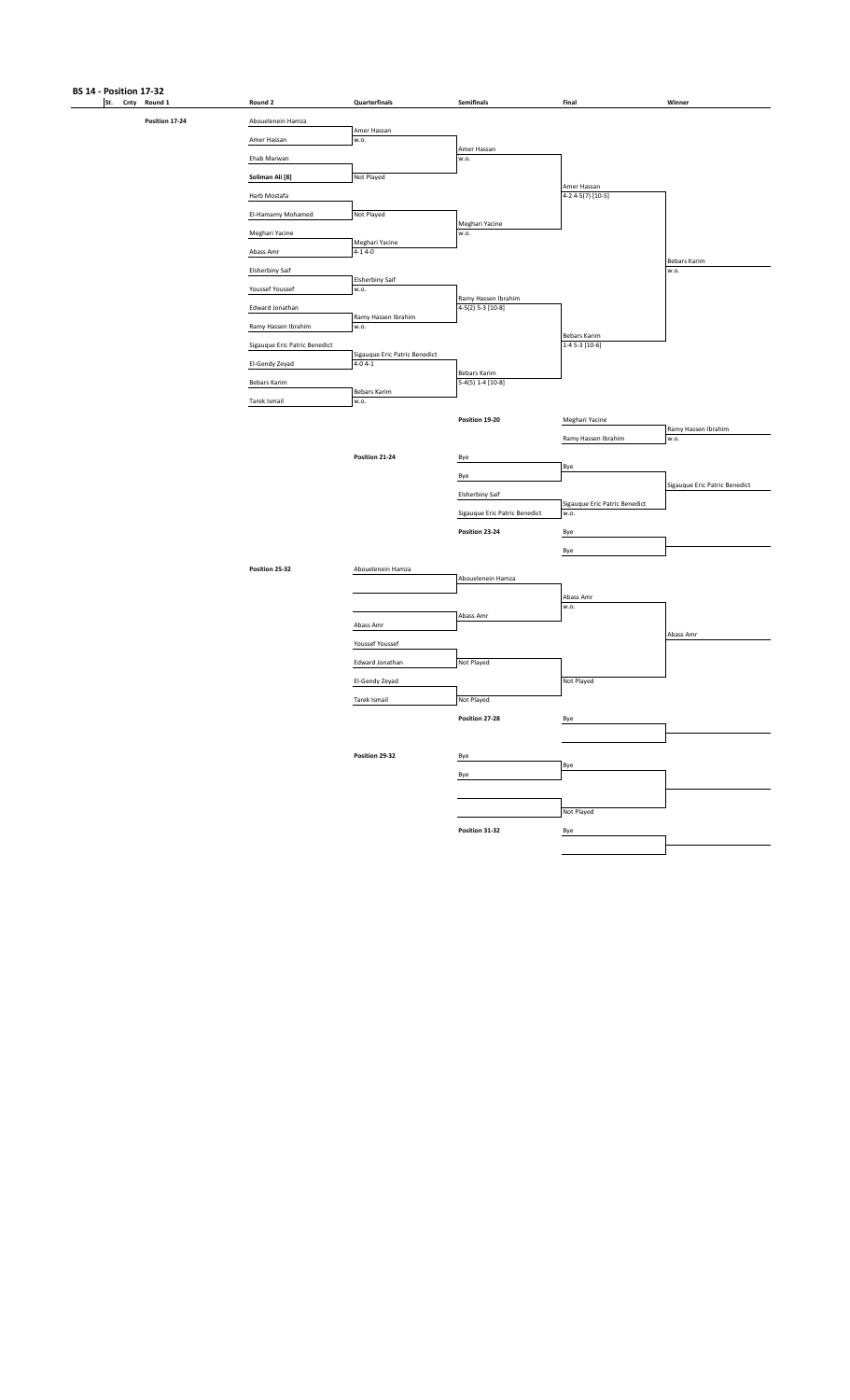# **BS 14 - Position 17-32**<br>**St.** Cnty Round 1

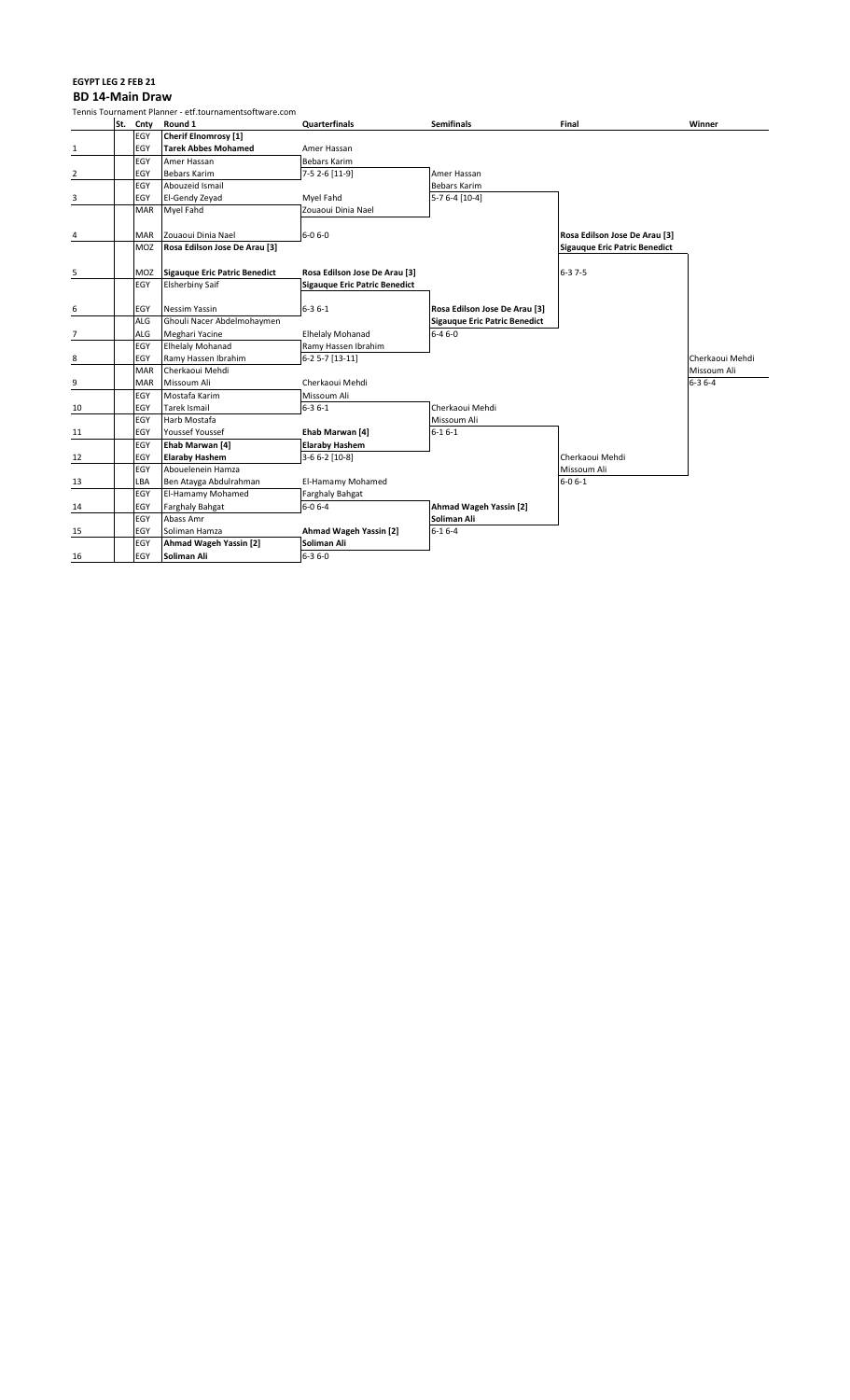#### **EGYPT LEG 2 FEB 21 BD 14-Main Draw**

|                |            | Tennis Tournament Planner - etf.tournamentsoftware.com |                               |                                      |                                      |                 |
|----------------|------------|--------------------------------------------------------|-------------------------------|--------------------------------------|--------------------------------------|-----------------|
|                | St. Cnty   | Round 1                                                | Quarterfinals                 | <b>Semifinals</b>                    | Final                                | Winner          |
|                | EGY        | Cherif Elnomrosy [1]                                   |                               |                                      |                                      |                 |
| $\mathbf{1}$   | EGY        | <b>Tarek Abbes Mohamed</b>                             | Amer Hassan                   |                                      |                                      |                 |
|                | EGY        | Amer Hassan                                            | <b>Bebars Karim</b>           |                                      |                                      |                 |
| $\overline{2}$ | EGY        | <b>Bebars Karim</b>                                    | 7-5 2-6 [11-9]                | Amer Hassan                          |                                      |                 |
|                | EGY        | Abouzeid Ismail                                        |                               | Bebars Karim                         |                                      |                 |
| 3              | EGY        | El-Gendy Zeyad                                         | Myel Fahd                     | 5-7 6-4 [10-4]                       |                                      |                 |
|                | <b>MAR</b> | Myel Fahd                                              | Zouaoui Dinia Nael            |                                      |                                      |                 |
|                |            |                                                        |                               |                                      |                                      |                 |
| 4              | <b>MAR</b> | Zouaoui Dinia Nael                                     | $6 - 06 - 0$                  |                                      | Rosa Edilson Jose De Arau [3]        |                 |
|                | MOZ        | Rosa Edilson Jose De Arau [3]                          |                               |                                      | <b>Sigauque Eric Patric Benedict</b> |                 |
|                |            |                                                        |                               |                                      |                                      |                 |
| 5              | MOZ        | Sigauque Eric Patric Benedict                          | Rosa Edilson Jose De Arau [3] |                                      | $6 - 37 - 5$                         |                 |
|                | EGY        | <b>Elsherbiny Saif</b>                                 | Sigauque Eric Patric Benedict |                                      |                                      |                 |
|                |            |                                                        |                               |                                      |                                      |                 |
| 6              | EGY        | <b>Nessim Yassin</b>                                   | $6 - 36 - 1$                  | Rosa Edilson Jose De Arau [3]        |                                      |                 |
|                | ALG        | Ghouli Nacer Abdelmohaymen                             |                               | <b>Sigauque Eric Patric Benedict</b> |                                      |                 |
| $\overline{7}$ | ALG        | Meghari Yacine                                         | <b>Elhelaly Mohanad</b>       | $6 - 46 - 0$                         |                                      |                 |
|                | EGY        | <b>Elhelaly Mohanad</b>                                | Ramy Hassen Ibrahim           |                                      |                                      |                 |
| 8              | EGY        | Ramy Hassen Ibrahim                                    | $6-25-7$ [13-11]              |                                      |                                      | Cherkaoui Mehdi |
|                | <b>MAR</b> | Cherkaoui Mehdi                                        |                               |                                      |                                      | Missoum Ali     |
| 9              | <b>MAR</b> | Missoum Ali                                            | Cherkaoui Mehdi               |                                      |                                      | $6 - 36 - 4$    |
|                | EGY        | Mostafa Karim                                          | Missoum Ali                   |                                      |                                      |                 |
| 10             | EGY        | Tarek Ismail                                           | $6 - 36 - 1$                  | Cherkaoui Mehdi                      |                                      |                 |
|                | EGY        | Harb Mostafa                                           |                               | Missoum Ali                          |                                      |                 |
| 11             | EGY        | Youssef Youssef                                        | Ehab Marwan [4]               | $6 - 16 - 1$                         |                                      |                 |
|                | EGY        | Ehab Marwan [4]                                        | <b>Elaraby Hashem</b>         |                                      |                                      |                 |
| 12             | EGY        | <b>Elaraby Hashem</b>                                  | 3-6 6-2 [10-8]                |                                      | Cherkaoui Mehdi                      |                 |
|                | EGY        | Abouelenein Hamza                                      |                               |                                      | Missoum Ali                          |                 |
| 13             | LBA        | Ben Atayga Abdulrahman                                 | El-Hamamy Mohamed             |                                      | $6 - 06 - 1$                         |                 |
|                | EGY        | El-Hamamy Mohamed                                      | <b>Farghaly Bahgat</b>        |                                      |                                      |                 |
| 14             | EGY        | <b>Farghaly Bahgat</b>                                 | $6 - 06 - 4$                  | Ahmad Wageh Yassin [2]               |                                      |                 |
|                | EGY        | Abass Amr                                              |                               | Soliman Ali                          |                                      |                 |
| 15             | EGY        | Soliman Hamza                                          | Ahmad Wageh Yassin [2]        | $6 - 16 - 4$                         |                                      |                 |
|                | EGY        | Ahmad Wageh Yassin [2]                                 | Soliman Ali                   |                                      |                                      |                 |
| 16             | EGY        | Soliman Ali                                            | $6 - 36 - 0$                  |                                      |                                      |                 |
|                |            |                                                        |                               |                                      |                                      |                 |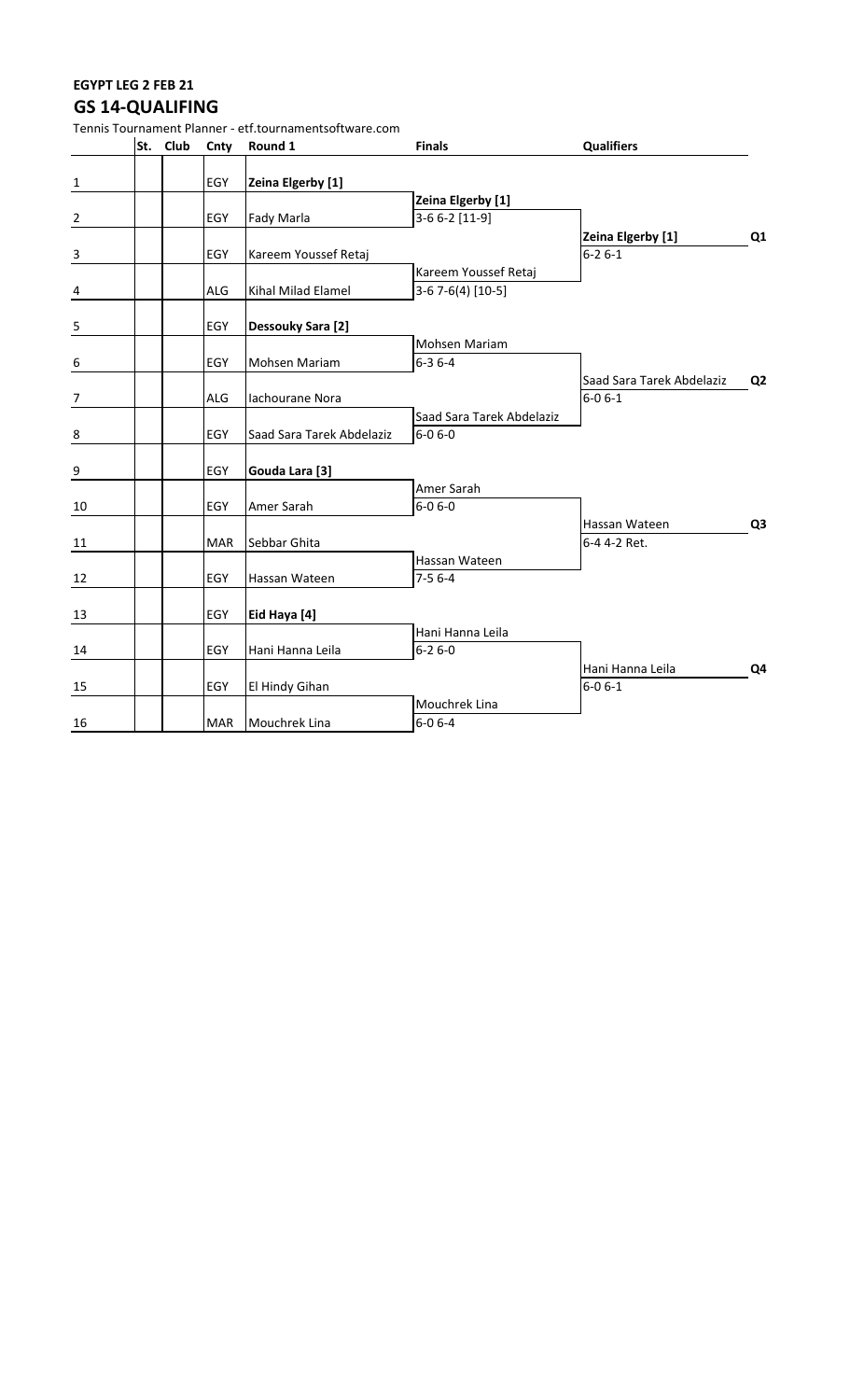### **EGYPT LEG 2 FEB 21 GS 14-QUALIFING**

|                         | St. Club | Cnty       | Round 1                   | <b>Finals</b>              | <b>Qualifiers</b>                          |                |
|-------------------------|----------|------------|---------------------------|----------------------------|--------------------------------------------|----------------|
| $\mathbf{1}$            |          | EGY        | Zeina Elgerby [1]         |                            |                                            |                |
|                         |          |            |                           | Zeina Elgerby [1]          |                                            |                |
| $\overline{2}$          |          | EGY        | Fady Marla                | 3-6 6-2 [11-9]             |                                            |                |
|                         |          |            |                           |                            | Zeina Elgerby [1]                          | Q1             |
| $\mathbf{3}$            |          | EGY        | Kareem Youssef Retaj      |                            | $6 - 26 - 1$                               |                |
|                         |          |            |                           | Kareem Youssef Retaj       |                                            |                |
| $\overline{\mathbf{4}}$ |          | ALG        | Kihal Milad Elamel        | $3-67-6(4)$ [10-5]         |                                            |                |
| 5                       |          | EGY        | Dessouky Sara [2]         |                            |                                            |                |
|                         |          |            |                           | Mohsen Mariam              |                                            |                |
| 6                       |          | EGY        | Mohsen Mariam             | $6 - 36 - 4$               |                                            |                |
| $\overline{7}$          |          | <b>ALG</b> | Iachourane Nora           |                            | Saad Sara Tarek Abdelaziz<br>$6 - 0 6 - 1$ | Q <sub>2</sub> |
|                         |          |            |                           | Saad Sara Tarek Abdelaziz  |                                            |                |
| $\frac{8}{1}$           |          | EGY        | Saad Sara Tarek Abdelaziz | $6 - 0 6 - 0$              |                                            |                |
| $\overline{9}$          |          | EGY        | Gouda Lara [3]            |                            |                                            |                |
|                         |          |            |                           | Amer Sarah                 |                                            |                |
| 10                      |          | EGY        | Amer Sarah                | $6 - 0 6 - 0$              |                                            |                |
|                         |          |            |                           |                            | Hassan Wateen                              | Q <sub>3</sub> |
| 11                      |          | <b>MAR</b> | Sebbar Ghita              |                            | 6-4 4-2 Ret.                               |                |
| 12                      |          | EGY        | Hassan Wateen             | Hassan Wateen<br>$7-56--4$ |                                            |                |
| 13                      |          | EGY        | Eid Haya [4]              |                            |                                            |                |
|                         |          |            |                           | Hani Hanna Leila           |                                            |                |
| 14                      |          | EGY        | Hani Hanna Leila          | $6 - 26 - 0$               |                                            |                |
|                         |          |            |                           |                            | Hani Hanna Leila                           | Q <sub>4</sub> |
| 15                      |          | EGY        | El Hindy Gihan            |                            | $6 - 0 6 - 1$                              |                |
|                         |          |            |                           | Mouchrek Lina              |                                            |                |
| 16                      |          | <b>MAR</b> | Mouchrek Lina             | $6 - 06 - 4$               |                                            |                |

Tennis Tournament Planner - etf.tournamentsoftware.com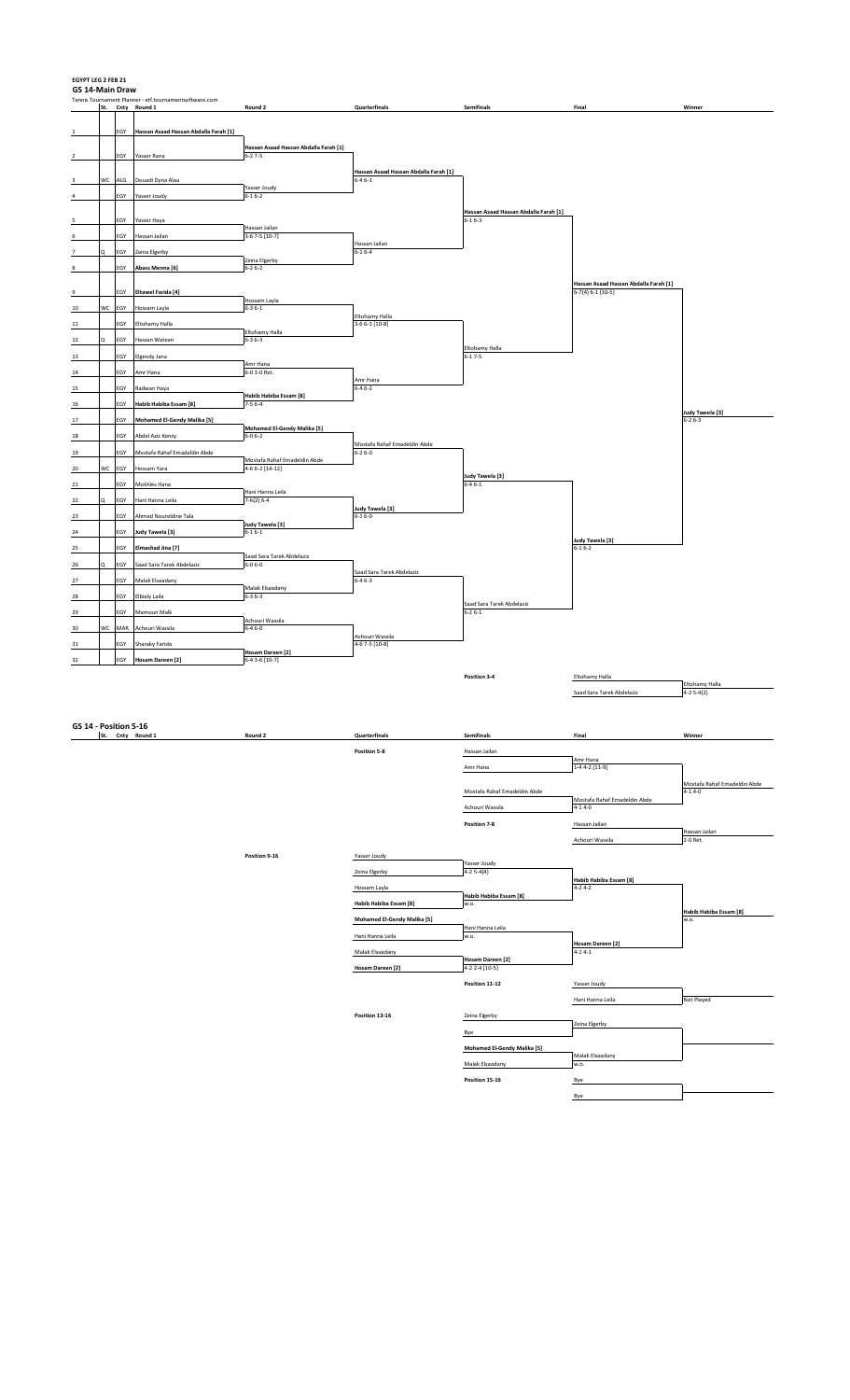**EGYPT LEG 2 FEB 21**

| GS 14-Main Draw |    |                       |                                                                            |                                                       |                                           |                                           |                                        |                              |
|-----------------|----|-----------------------|----------------------------------------------------------------------------|-------------------------------------------------------|-------------------------------------------|-------------------------------------------|----------------------------------------|------------------------------|
|                 |    |                       | Tennis Tournament Planner - etf.tournamentsoftware.com<br>St. Cnty Round 1 | Round 2                                               | Quarterfinals                             | Semifinals                                | Final                                  | Winner                       |
|                 |    |                       |                                                                            |                                                       |                                           |                                           |                                        |                              |
|                 |    |                       | EGY Hassan Asaad Hassan Abdalla Farah [1]                                  |                                                       |                                           |                                           |                                        |                              |
|                 |    | EGY                   | Yasser Rana                                                                | Hassan Asaad Hassan Abdalla Farah [1]<br>$6 - 27 - 5$ |                                           |                                           |                                        |                              |
|                 |    |                       |                                                                            |                                                       | Hassan Asaad Hassan Abdalla Farah [1]     |                                           |                                        |                              |
|                 | WC | $\mathsf{ALG}\xspace$ | Douadi Dyna Alaa                                                           |                                                       | $6 - 46 - 1$                              |                                           |                                        |                              |
|                 |    | EGY                   | Yasser Joudy                                                               | Yasser Joudy<br>$6 - 16 - 2$                          |                                           |                                           |                                        |                              |
|                 |    |                       |                                                                            |                                                       |                                           | Hassan Asaad Hassan Abdalla Farah [1]     |                                        |                              |
|                 |    | EGY                   | Yasser Haya                                                                | Hassan Jailan                                         |                                           | $6 - 16 - 3$                              |                                        |                              |
|                 |    | EGY                   | Hassan Jailan                                                              | 3-6 7-5 [10-7]                                        |                                           |                                           |                                        |                              |
|                 |    | EGY                   | Zeina Elgerby                                                              |                                                       | Hassan Jailan<br>$6 - 16 - 4$             |                                           |                                        |                              |
|                 |    | EGY                   | Abass Menna [6]                                                            | Zeina Elgerby<br>$6 - 26 - 2$                         |                                           |                                           |                                        |                              |
|                 |    |                       |                                                                            |                                                       |                                           |                                           | Hassan Asaad Hassan Abdalla Farah [1]  |                              |
|                 |    | EGY                   | <b>Eltawel Farida [4]</b>                                                  |                                                       |                                           |                                           | $6-7(4) 6-1 [10-5]$                    |                              |
| 10              |    | WC EGY                | Hossam Layla                                                               | Hossam Layla<br>$6 - 36 - 1$                          |                                           |                                           |                                        |                              |
|                 |    | EGY                   | Eltohamy Halla                                                             |                                                       | Eltohamy Halla<br>3-6 6-1 [10-8]          |                                           |                                        |                              |
| 12              | Q  | EGY                   | Hassan Wateen                                                              | Eltohamy Halla<br>$6 - 36 - 3$                        |                                           |                                           |                                        |                              |
|                 |    | EGY                   | <b>Elgendy Jana</b>                                                        |                                                       |                                           | Eltohamy Halla<br>$6 - 17 - 5$            |                                        |                              |
|                 |    |                       |                                                                            | Amr Hana                                              |                                           |                                           |                                        |                              |
| 14<br>15        |    | EGY                   | Amr Hana                                                                   | 6-0 3-0 Ret.                                          | Amr Hana                                  |                                           |                                        |                              |
|                 |    | EGY                   | Radwan Haya                                                                | Habib Habiba Essam [8]                                | $6 - 46 - 2$                              |                                           |                                        |                              |
| 16              |    | EGY                   | Habib Habiba Essam [8]                                                     | $7 - 56 - 4$                                          |                                           |                                           |                                        | Judy Tawela [3]              |
|                 |    | EGY                   | <b>Mohamed El-Gendy Malika [5]</b>                                         | Mohamed El-Gendy Malika [5]                           |                                           |                                           |                                        | $6 - 26 - 3$                 |
| 18              |    | EGY                   | Abdel Aziz Kenzy                                                           | $6 - 06 - 2$                                          | Mostafa Rahaf Emadeldin Abde              |                                           |                                        |                              |
| 19              |    | EGY                   | Mostafa Rahaf Emadeldin Abde                                               |                                                       | $6 - 26 - 0$                              |                                           |                                        |                              |
| 20              | wc | EGY                   | Hossam Yara                                                                | Mostafa Rahaf Emadeldin Abde<br>$4-66-2$ [14-12]      |                                           |                                           |                                        |                              |
|                 |    | EGY                   | Mokhles Hana                                                               |                                                       |                                           | Judy Tawela [3]<br>$6 - 46 - 1$           |                                        |                              |
|                 | O  | EGY                   | Hani Hanna Leila                                                           | Hani Hanna Leila<br>$7-6(2)$ 6-4                      |                                           |                                           |                                        |                              |
| 22              |    |                       |                                                                            |                                                       | Judy Tawela [3]                           |                                           |                                        |                              |
| 23              |    | EGY                   | Ahmed Noureldine Tala                                                      | Judy Tawela [3]                                       | $6 - 16 - 0$                              |                                           |                                        |                              |
| 24              |    | EGY                   | Judy Tawela [3]                                                            | $6 - 16 - 1$                                          |                                           |                                           | Judy Tawela [3]                        |                              |
| 25              |    | EGY                   | Elmashad Jina [7]                                                          | Saad Sara Tarek Abdelaziz                             |                                           |                                           | $6 - 16 - 2$                           |                              |
| 26              |    | EGY                   | Saad Sara Tarek Abdelaziz                                                  | $6 - 06 - 0$                                          |                                           |                                           |                                        |                              |
| 27              |    | EGY                   | Malak Elsaadany                                                            |                                                       | Saad Sara Tarek Abdelaziz<br>$6 - 46 - 3$ |                                           |                                        |                              |
| $28\,$          |    | EGY                   | <b>Elbialy Laila</b>                                                       | Malak Elsaadany<br>$6 - 36 - 3$                       |                                           |                                           |                                        |                              |
| 29              |    | EGY                   | Mamoun Malk                                                                |                                                       |                                           | Saad Sara Tarek Abdelaziz<br>$6 - 26 - 1$ |                                        |                              |
| 30              |    | WC MAR                | Achouri Wassila                                                            | Achouri Wassila<br>$6 - 46 - 0$                       |                                           |                                           |                                        |                              |
| 31              |    | EGY                   | Sharaky Farida                                                             |                                                       | Achouri Wassila<br>4-6 7-5 [10-8]         |                                           |                                        |                              |
|                 |    |                       |                                                                            | Hosam Dareen [2]                                      |                                           |                                           |                                        |                              |
| 32              |    | EGY                   | Hosam Dareen [2]                                                           | 6-4 3-6 [10-7]                                        |                                           |                                           |                                        |                              |
|                 |    |                       |                                                                            |                                                       |                                           | Position 3-4                              | Eltohamy Halla                         | Eltohamy Halla               |
|                 |    |                       |                                                                            |                                                       |                                           |                                           | Saad Sara Tarek Abdelaziz              | $4-25-4(2)$                  |
|                 |    |                       |                                                                            |                                                       |                                           |                                           |                                        |                              |
|                 |    | GS 14 - Position 5-16 |                                                                            |                                                       |                                           |                                           |                                        |                              |
|                 |    |                       | St. Cnty Round 1                                                           | Round 2                                               | Quarterfinals                             | Semifinals                                | Final                                  | Winner                       |
|                 |    |                       |                                                                            |                                                       | Position 5-8                              | Hassan Jailan                             | Amr Hana                               |                              |
|                 |    |                       |                                                                            |                                                       |                                           | Amr Hana                                  | 1-4 4-2 [11-9]                         |                              |
|                 |    |                       |                                                                            |                                                       |                                           |                                           |                                        | Mostafa Rahaf Emadeldin Abde |
|                 |    |                       |                                                                            |                                                       |                                           | Mostafa Rahaf Emadeldin Abde              | Mostafa Rahaf Emadeldin Abde           | $4 - 14 - 0$                 |
|                 |    |                       |                                                                            |                                                       |                                           | Achouri Wassila                           | $4 - 14 - 0$                           |                              |
|                 |    |                       |                                                                            |                                                       |                                           | Position 7-8                              | Hassan Jailan                          | Hassan Jailan                |
|                 |    |                       |                                                                            |                                                       |                                           |                                           | Achouri Wassila                        | 2-0 Ret.                     |
|                 |    |                       |                                                                            | Position 9-16                                         | Yasser Joudy                              |                                           |                                        |                              |
|                 |    |                       |                                                                            |                                                       | Zeina Elgerby                             | Yasser Joudy<br>$4-25-4(4)$               |                                        |                              |
|                 |    |                       |                                                                            |                                                       | Hossam Layla                              |                                           | Habib Habiba Essam [8]<br>$4 - 24 - 2$ |                              |
|                 |    |                       |                                                                            |                                                       | Habib Habiba Essam [8]                    | Habib Habiba Essam [8]<br>w.o.            |                                        |                              |
|                 |    |                       |                                                                            |                                                       |                                           |                                           |                                        | Habib Habiba Essam [8]       |
|                 |    |                       |                                                                            |                                                       | Mohamed El-Gendy Malika [5]               | Hani Hanna Leila                          |                                        | w.o.                         |
|                 |    |                       |                                                                            |                                                       | Hani Hanna Leila                          | w.o.                                      | Hosam Dareen [2]                       |                              |
|                 |    |                       |                                                                            |                                                       | Malak Elsaadany                           | Hosam Dareen [2]                          | $4 - 14 - 1$                           |                              |
|                 |    |                       |                                                                            |                                                       | Hosam Dareen [2]                          | 4-2 2-4 [10-5]                            |                                        |                              |
|                 |    |                       |                                                                            |                                                       |                                           | Position 11-12                            | Yasser Joudy                           |                              |
|                 |    |                       |                                                                            |                                                       |                                           |                                           | Hani Hanna Leila                       | Not Played                   |
|                 |    |                       |                                                                            |                                                       | Position 13-16                            | Zeina Elgerby                             |                                        |                              |
|                 |    |                       |                                                                            |                                                       |                                           |                                           |                                        |                              |

**Position 15-16** 

Zeina Elgerby Bye

**Mohamed El-Gendy Malika [5]**  Malak Elsaadany Malak Elsaadany w.o.

 $\frac{\text{Bye}}{\text{Bye}}$ 

 $\mathbf{I}$ 

 $\overline{\phantom{0}}$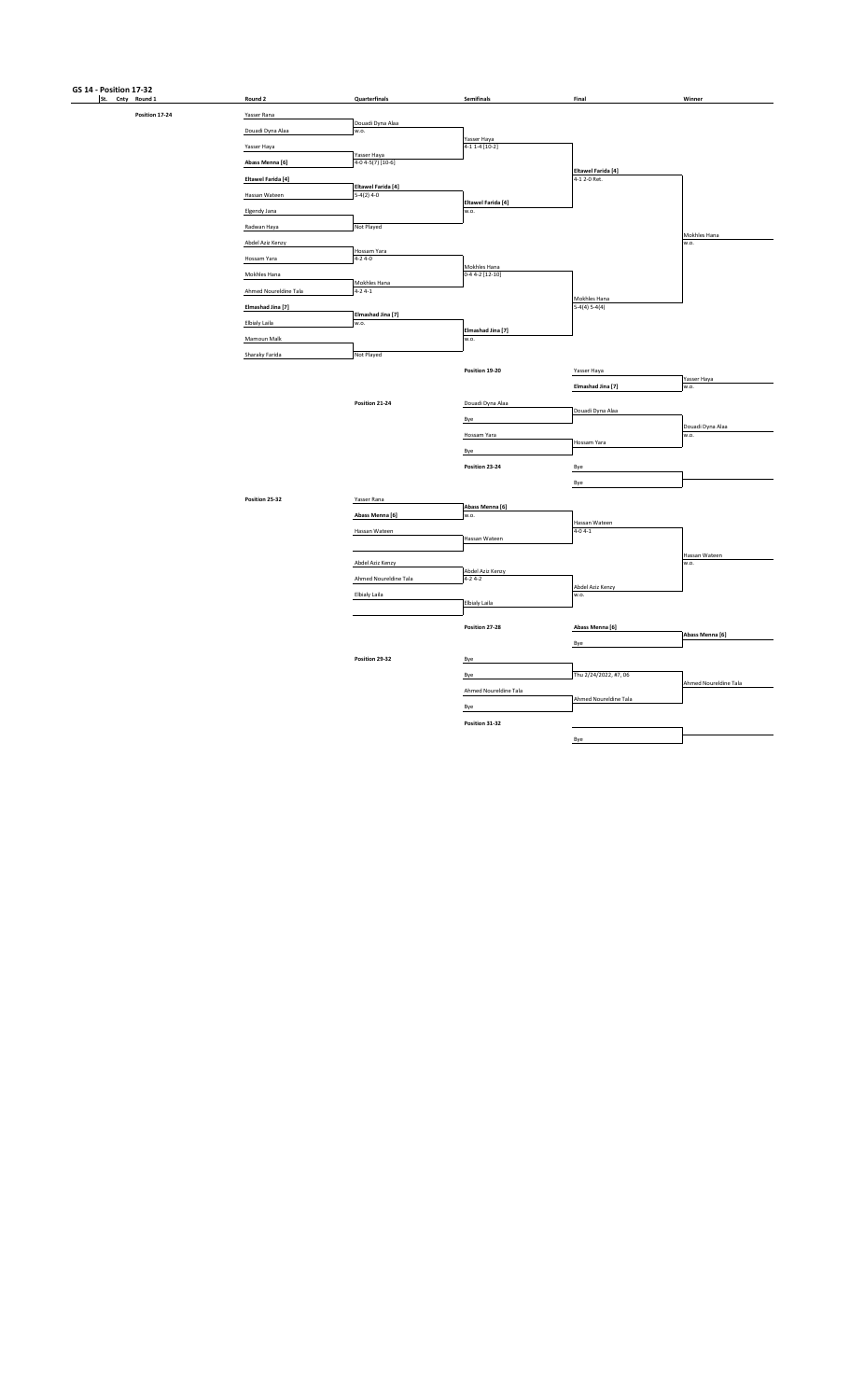## **GS 14 - Position 17-32**<br>**St.** Cnty Round 1

**Position 17-24** 

| Round 2                   |                      | Quarterfinals         | Semifinals                          | Final                                     | Winner                |
|---------------------------|----------------------|-----------------------|-------------------------------------|-------------------------------------------|-----------------------|
| Yasser Rana               |                      |                       |                                     |                                           |                       |
| Douadi Dyna Alaa          | w.o.                 | Douadi Dyna Alaa      |                                     |                                           |                       |
| Yasser Haya               |                      |                       | Yasser Haya<br>$4-1$ $1-4$ $[10-2]$ |                                           |                       |
| Abass Menna [6]           | Yasser Haya          | 4-0 4-5(7) [10-6]     |                                     |                                           |                       |
| <b>Eltawel Farida</b> [4] |                      |                       |                                     | <b>Eltawel Farida [4]</b><br>4-1 2-0 Ret. |                       |
| Hassan Wateen             | 5-4(2) 4-0           | Eltawel Farida [4]    |                                     |                                           |                       |
| Elgendy Jana              |                      |                       | Eltawel Farida [4]<br>w.o.          |                                           |                       |
| Radwan Haya               | Not Played           |                       |                                     |                                           |                       |
|                           |                      |                       |                                     |                                           | Mokhles Hana          |
| Abdel Aziz Kenzy          |                      | Hossam Yara           |                                     |                                           | W.O.                  |
| Hossam Yara               | $4 - 24 - 0$         |                       | Mokhles Hana                        |                                           |                       |
| Mokhles Hana              |                      | Mokhles Hana          | $0-44-2$ [12-10]                    |                                           |                       |
| Ahmed Noureldine Tala     | $4 - 24 - 1$         |                       |                                     | Mokhles Hana                              |                       |
| Elmashad Jina [7]         |                      |                       |                                     | $5-4(4)$ $5-4(4)$                         |                       |
| Elbialy Laila             | w.o.                 | Elmashad Jina [7]     |                                     |                                           |                       |
| Mamoun Malk               |                      |                       | Elmashad Jina [7]<br>w.o.           |                                           |                       |
| Sharaky Farida            | Not Played           |                       |                                     |                                           |                       |
|                           |                      |                       | Position 19-20                      | Yasser Haya                               |                       |
|                           |                      |                       |                                     | Elmashad Jina [7]                         | Yasser Haya<br>w.o.   |
|                           |                      |                       |                                     |                                           |                       |
|                           |                      | Position 21-24        | Douadi Dyna Alaa                    | Douadi Dyna Alaa                          |                       |
|                           |                      |                       | Bye                                 |                                           | Douadi Dyna Alaa      |
|                           |                      |                       | Hossam Yara                         | Hossam Yara                               | w.o.                  |
|                           |                      |                       | Bye                                 |                                           |                       |
|                           |                      |                       | Position 23-24                      | Bye                                       |                       |
|                           |                      |                       |                                     | Bye                                       |                       |
| Position 25-32            | Yasser Rana          |                       |                                     |                                           |                       |
|                           |                      | Abass Menna [6]       | Abass Menna [6]<br>w.o.             |                                           |                       |
|                           |                      | Hassan Wateen         |                                     | Hassan Wateen<br>$4 - 04 - 1$             |                       |
|                           |                      |                       | Hassan Wateen                       |                                           |                       |
|                           |                      | Abdel Aziz Kenzy      |                                     |                                           | Hassan Wateen<br>w.o. |
|                           |                      | Ahmed Noureldine Tala | Abdel Aziz Kenzy<br>$4-2$ $4-2$     |                                           |                       |
|                           |                      |                       |                                     | Abdel Aziz Kenzy                          |                       |
|                           | <b>Elbialy Laila</b> |                       | <b>Elbialy Laila</b>                | w.o.                                      |                       |
|                           |                      |                       |                                     |                                           |                       |
|                           |                      |                       | Position 27-28                      | Abass Menna [6]                           | Abass Menna [6]       |
|                           |                      |                       |                                     | Bye                                       |                       |
|                           |                      | Position 29-32        | Bye                                 |                                           |                       |
|                           |                      |                       | Bye                                 | Thu 2/24/2022, #7, 06                     |                       |
|                           |                      |                       | Ahmed Noureldine Tala               |                                           | Ahmed Noureldine Tala |
|                           |                      |                       | Bye                                 | Ahmed Noureldine Tala                     |                       |
|                           |                      |                       | Position 31-32                      |                                           |                       |
|                           |                      |                       |                                     | Bye                                       |                       |
|                           |                      |                       |                                     |                                           |                       |